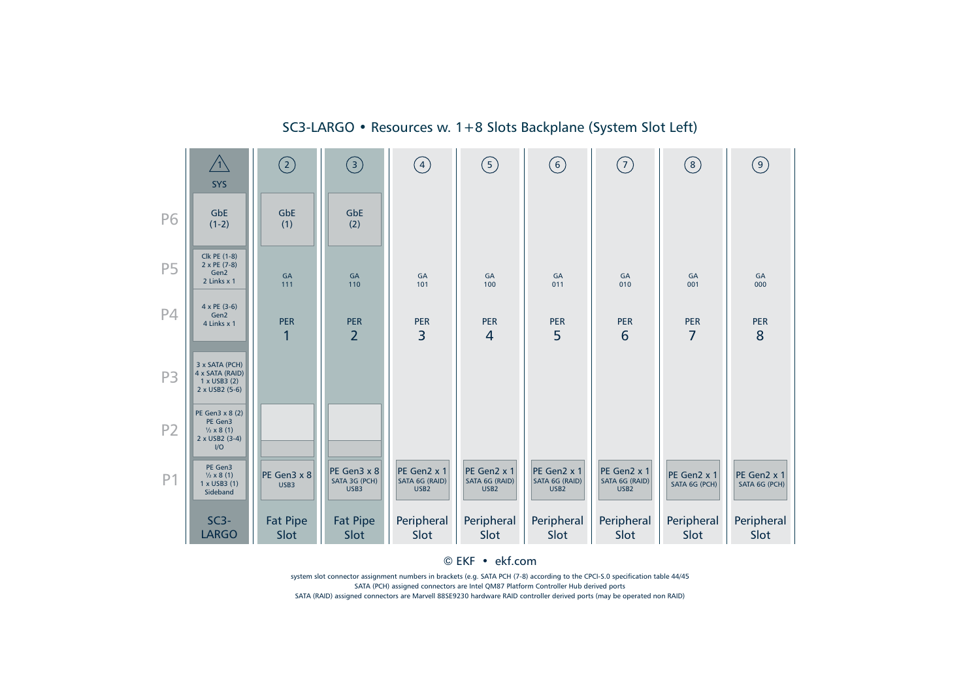

SC3-LARGO • Resources w. 1+8 Slots Backplane (System Slot Left)

© EKF • ekf.com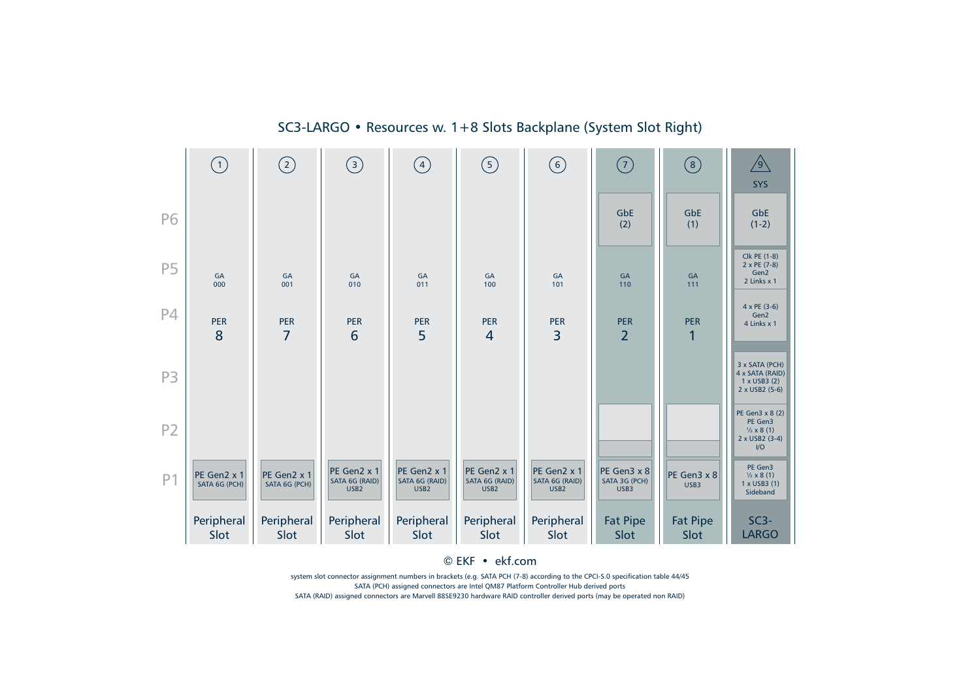|                | (1)                          | $\odot$                      | $\odot$                                           | $\left(4\right)$                                  | $\circledS$                                       | $\left(\overline{6}\right)$                       | (7)                                  | (8)                     | $\sqrt{9}$<br><b>SYS</b>                                                         |
|----------------|------------------------------|------------------------------|---------------------------------------------------|---------------------------------------------------|---------------------------------------------------|---------------------------------------------------|--------------------------------------|-------------------------|----------------------------------------------------------------------------------|
| P6             |                              |                              |                                                   |                                                   |                                                   |                                                   | GbE<br>(2)                           | GbE<br>(1)              | <b>GbE</b><br>$(1-2)$                                                            |
| <b>P5</b>      | GA<br>000                    | GA<br>001                    | GA<br>010                                         | GA<br>011                                         | GA<br>100                                         | GA<br>101                                         | $\mathsf{GA}$<br>110                 | GA<br>111               | Clk PE (1-8)<br>2 x PE (7-8)<br>Gen2<br>2 Links x 1                              |
| <b>P4</b>      | <b>PER</b><br>8              | <b>PER</b><br>$\overline{7}$ | <b>PER</b><br>6                                   | <b>PER</b><br>5                                   | <b>PER</b><br>$\overline{4}$                      | <b>PER</b><br>3                                   | <b>PER</b><br>$\overline{2}$         | <b>PER</b><br>1         | 4 x PE (3-6)<br>Gen2<br>4 Links x 1                                              |
| P <sub>3</sub> |                              |                              |                                                   |                                                   |                                                   |                                                   |                                      |                         | 3 x SATA (PCH)<br>4 x SATA (RAID)<br>1 x USB3 (2)<br>2 x USB2 (5-6)              |
| P <sub>2</sub> |                              |                              |                                                   |                                                   |                                                   |                                                   |                                      |                         | PE Gen3 x 8 (2)<br>PE Gen3<br>$\frac{1}{2} \times 8(1)$<br>2 x USB2 (3-4)<br>$U$ |
| P <sub>1</sub> | PE Gen2 x 1<br>SATA 6G (PCH) | PE Gen2 x 1<br>SATA 6G (PCH) | PE Gen2 x 1<br>SATA 6G (RAID)<br>USB <sub>2</sub> | PE Gen2 x 1<br>SATA 6G (RAID)<br>USB <sub>2</sub> | PE Gen2 x 1<br>SATA 6G (RAID)<br>USB <sub>2</sub> | PE Gen2 x 1<br>SATA 6G (RAID)<br>USB <sub>2</sub> | PE Gen3 x 8<br>SATA 3G (PCH)<br>USB3 | PE Gen3 x 8<br>USB3     | PE Gen3<br>$\frac{1}{2} \times 8(1)$<br>1 x USB3 (1)<br>Sideband                 |
|                | Peripheral<br>Slot           | Peripheral<br>Slot           | Peripheral<br>Slot                                | Peripheral<br>Slot                                | Peripheral<br>Slot                                | Peripheral<br>Slot                                | <b>Fat Pipe</b><br>Slot              | <b>Fat Pipe</b><br>Slot | $SC3-$<br><b>LARGO</b>                                                           |

SC3-LARGO • Resources w. 1+8 Slots Backplane (System Slot Right)

© EKF • ekf.com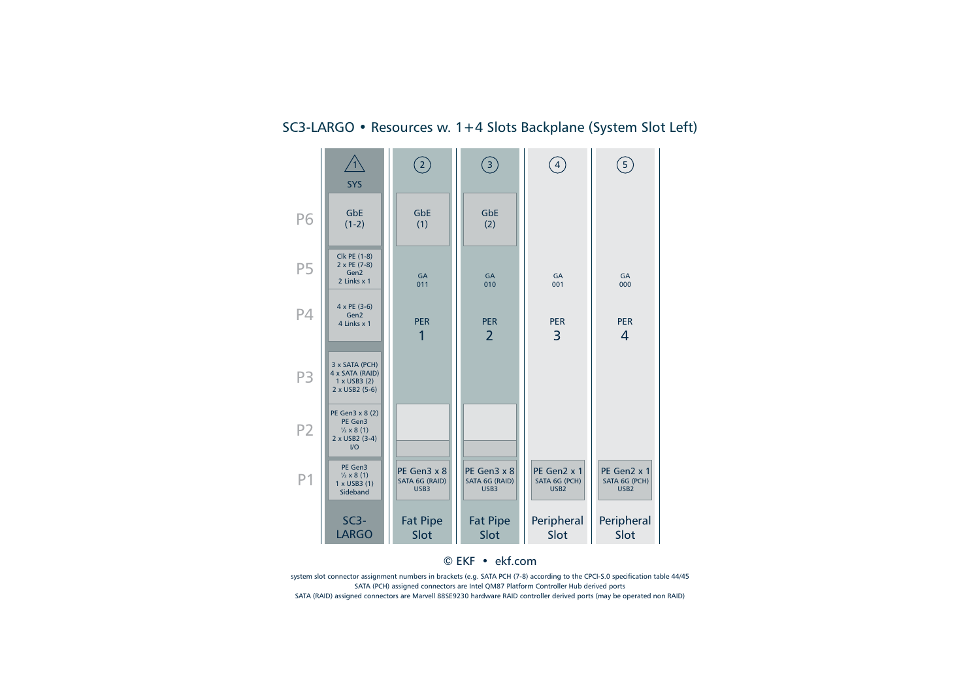

## SC3-LARGO • Resources w. 1+4 Slots Backplane (System Slot Left)

© EKF • ekf.com